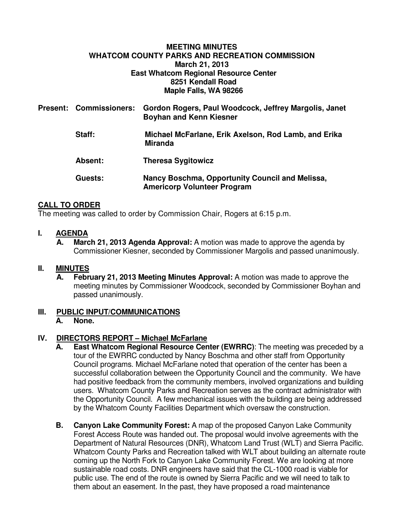#### **MEETING MINUTES WHATCOM COUNTY PARKS AND RECREATION COMMISSION March 21, 2013 East Whatcom Regional Resource Center 8251 Kendall Road Maple Falls, WA 98266**

|  | Present: Commissioners: | Gordon Rogers, Paul Woodcock, Jeffrey Margolis, Janet<br><b>Boyhan and Kenn Kiesner</b> |
|--|-------------------------|-----------------------------------------------------------------------------------------|
|  | Staff:                  | Michael McFarlane, Erik Axelson, Rod Lamb, and Erika<br><b>Miranda</b>                  |
|  | <b>Absent:</b>          | <b>Theresa Sygitowicz</b>                                                               |
|  | Guests:                 | Nancy Boschma, Opportunity Council and Melissa,<br><b>Americorp Volunteer Program</b>   |

## **CALL TO ORDER**

The meeting was called to order by Commission Chair, Rogers at 6:15 p.m.

#### **I. AGENDA**

**A. March 21, 2013 Agenda Approval:** A motion was made to approve the agenda by Commissioner Kiesner, seconded by Commissioner Margolis and passed unanimously.

#### **II. MINUTES**

**A. February 21, 2013 Meeting Minutes Approval:** A motion was made to approve the meeting minutes by Commissioner Woodcock, seconded by Commissioner Boyhan and passed unanimously.

# **III. PUBLIC INPUT/COMMUNICATIONS**

# **A. None.**

### **IV. DIRECTORS REPORT – Michael McFarlane**

- **East Whatcom Regional Resource Center (EWRRC)**: The meeting was preceded by a tour of the EWRRC conducted by Nancy Boschma and other staff from Opportunity Council programs. Michael McFarlane noted that operation of the center has been a successful collaboration between the Opportunity Council and the community. We have had positive feedback from the community members, involved organizations and building users. Whatcom County Parks and Recreation serves as the contract administrator with the Opportunity Council. A few mechanical issues with the building are being addressed by the Whatcom County Facilities Department which oversaw the construction.
- **B. Canyon Lake Community Forest:** A map of the proposed Canyon Lake Community Forest Access Route was handed out. The proposal would involve agreements with the Department of Natural Resources (DNR), Whatcom Land Trust (WLT) and Sierra Pacific. Whatcom County Parks and Recreation talked with WLT about building an alternate route coming up the North Fork to Canyon Lake Community Forest. We are looking at more sustainable road costs. DNR engineers have said that the CL-1000 road is viable for public use. The end of the route is owned by Sierra Pacific and we will need to talk to them about an easement. In the past, they have proposed a road maintenance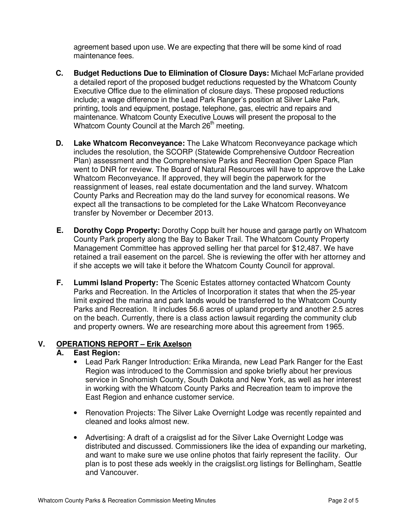agreement based upon use. We are expecting that there will be some kind of road maintenance fees.

- **C. Budget Reductions Due to Elimination of Closure Days:** Michael McFarlane provided a detailed report of the proposed budget reductions requested by the Whatcom County Executive Office due to the elimination of closure days. These proposed reductions include; a wage difference in the Lead Park Ranger's position at Silver Lake Park, printing, tools and equipment, postage, telephone, gas, electric and repairs and maintenance. Whatcom County Executive Louws will present the proposal to the Whatcom County Council at the March 26<sup>th</sup> meeting.
- **D. Lake Whatcom Reconveyance:** The Lake Whatcom Reconveyance package which includes the resolution, the SCORP (Statewide Comprehensive Outdoor Recreation Plan) assessment and the Comprehensive Parks and Recreation Open Space Plan went to DNR for review. The Board of Natural Resources will have to approve the Lake Whatcom Reconveyance. If approved, they will begin the paperwork for the reassignment of leases, real estate documentation and the land survey. Whatcom County Parks and Recreation may do the land survey for economical reasons. We expect all the transactions to be completed for the Lake Whatcom Reconveyance transfer by November or December 2013.
- **E. Dorothy Copp Property:** Dorothy Copp built her house and garage partly on Whatcom County Park property along the Bay to Baker Trail. The Whatcom County Property Management Committee has approved selling her that parcel for \$12,487. We have retained a trail easement on the parcel. She is reviewing the offer with her attorney and if she accepts we will take it before the Whatcom County Council for approval.
- **F. Lummi Island Property:** The Scenic Estates attorney contacted Whatcom County Parks and Recreation. In the Articles of Incorporation it states that when the 25-year limit expired the marina and park lands would be transferred to the Whatcom County Parks and Recreation. It includes 56.6 acres of upland property and another 2.5 acres on the beach. Currently, there is a class action lawsuit regarding the community club and property owners. We are researching more about this agreement from 1965.

#### **V. OPERATIONS REPORT – Erik Axelson**

# **A. East Region:**

- Lead Park Ranger Introduction: Erika Miranda, new Lead Park Ranger for the East Region was introduced to the Commission and spoke briefly about her previous service in Snohomish County, South Dakota and New York, as well as her interest in working with the Whatcom County Parks and Recreation team to improve the East Region and enhance customer service.
- Renovation Projects: The Silver Lake Overnight Lodge was recently repainted and cleaned and looks almost new.
- Advertising: A draft of a craigslist ad for the Silver Lake Overnight Lodge was distributed and discussed. Commissioners like the idea of expanding our marketing, and want to make sure we use online photos that fairly represent the facility. Our plan is to post these ads weekly in the craigslist.org listings for Bellingham, Seattle and Vancouver.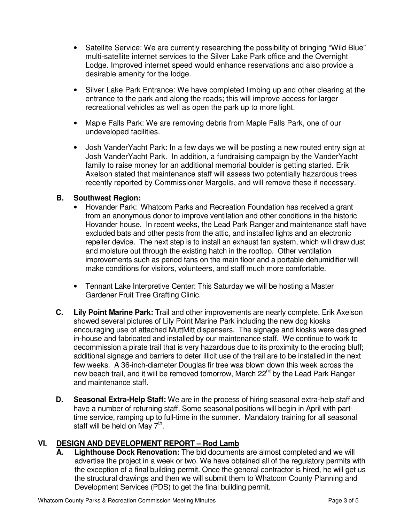- Satellite Service: We are currently researching the possibility of bringing "Wild Blue" multi-satellite internet services to the Silver Lake Park office and the Overnight Lodge. Improved internet speed would enhance reservations and also provide a desirable amenity for the lodge.
- Silver Lake Park Entrance: We have completed limbing up and other clearing at the entrance to the park and along the roads; this will improve access for larger recreational vehicles as well as open the park up to more light.
- Maple Falls Park: We are removing debris from Maple Falls Park, one of our undeveloped facilities.
- Josh VanderYacht Park: In a few days we will be posting a new routed entry sign at Josh VanderYacht Park. In addition, a fundraising campaign by the VanderYacht family to raise money for an additional memorial boulder is getting started. Erik Axelson stated that maintenance staff will assess two potentially hazardous trees recently reported by Commissioner Margolis, and will remove these if necessary.

### **B. Southwest Region:**

- Hovander Park: Whatcom Parks and Recreation Foundation has received a grant from an anonymous donor to improve ventilation and other conditions in the historic Hovander house. In recent weeks, the Lead Park Ranger and maintenance staff have excluded bats and other pests from the attic, and installed lights and an electronic repeller device. The next step is to install an exhaust fan system, which will draw dust and moisture out through the existing hatch in the rooftop. Other ventilation improvements such as period fans on the main floor and a portable dehumidifier will make conditions for visitors, volunteers, and staff much more comfortable.
- Tennant Lake Interpretive Center: This Saturday we will be hosting a Master Gardener Fruit Tree Grafting Clinic.
- **C. Lily Point Marine Park:** Trail and other improvements are nearly complete. Erik Axelson showed several pictures of Lily Point Marine Park including the new dog kiosks encouraging use of attached MuttMitt dispensers. The signage and kiosks were designed in-house and fabricated and installed by our maintenance staff. We continue to work to decommission a pirate trail that is very hazardous due to its proximity to the eroding bluff; additional signage and barriers to deter illicit use of the trail are to be installed in the next few weeks. A 36-inch-diameter Douglas fir tree was blown down this week across the new beach trail, and it will be removed tomorrow, March 22<sup>nd</sup> by the Lead Park Ranger and maintenance staff.
- **D. Seasonal Extra-Help Staff:** We are in the process of hiring seasonal extra-help staff and have a number of returning staff. Some seasonal positions will begin in April with parttime service, ramping up to full-time in the summer. Mandatory training for all seasonal staff will be held on May  $7<sup>th</sup>$ .

# **VI. DESIGN AND DEVELOPMENT REPORT – Rod Lamb**

**A. Lighthouse Dock Renovation:** The bid documents are almost completed and we will advertise the project in a week or two. We have obtained all of the regulatory permits with the exception of a final building permit. Once the general contractor is hired, he will get us the structural drawings and then we will submit them to Whatcom County Planning and Development Services (PDS) to get the final building permit.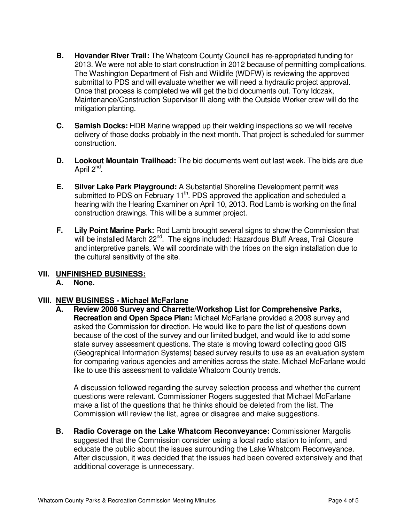- **B. Hovander River Trail:** The Whatcom County Council has re-appropriated funding for 2013. We were not able to start construction in 2012 because of permitting complications. The Washington Department of Fish and Wildlife (WDFW) is reviewing the approved submittal to PDS and will evaluate whether we will need a hydraulic project approval. Once that process is completed we will get the bid documents out. Tony Idczak, Maintenance/Construction Supervisor III along with the Outside Worker crew will do the mitigation planting.
- **C. Samish Docks:** HDB Marine wrapped up their welding inspections so we will receive delivery of those docks probably in the next month. That project is scheduled for summer construction.
- **D. Lookout Mountain Trailhead:** The bid documents went out last week. The bids are due April 2<sup>nd</sup>.
- **E. Silver Lake Park Playground:** A Substantial Shoreline Development permit was submitted to PDS on February 11<sup>th</sup>. PDS approved the application and scheduled a hearing with the Hearing Examiner on April 10, 2013. Rod Lamb is working on the final construction drawings. This will be a summer project.
- **F. Lily Point Marine Park:** Rod Lamb brought several signs to show the Commission that will be installed March 22<sup>nd</sup>. The signs included: Hazardous Bluff Areas, Trail Closure and interpretive panels. We will coordinate with the tribes on the sign installation due to the cultural sensitivity of the site.

# **VII. UNFINISHED BUSINESS:**

# **A. None.**

# **VIII. NEW BUSINESS - Michael McFarlane**

**A. Review 2008 Survey and Charrette/Workshop List for Comprehensive Parks, Recreation and Open Space Plan:** Michael McFarlane provided a 2008 survey and asked the Commission for direction. He would like to pare the list of questions down because of the cost of the survey and our limited budget, and would like to add some state survey assessment questions. The state is moving toward collecting good GIS (Geographical Information Systems) based survey results to use as an evaluation system for comparing various agencies and amenities across the state. Michael McFarlane would like to use this assessment to validate Whatcom County trends.

A discussion followed regarding the survey selection process and whether the current questions were relevant. Commissioner Rogers suggested that Michael McFarlane make a list of the questions that he thinks should be deleted from the list. The Commission will review the list, agree or disagree and make suggestions.

**B. Radio Coverage on the Lake Whatcom Reconveyance:** Commissioner Margolis suggested that the Commission consider using a local radio station to inform, and educate the public about the issues surrounding the Lake Whatcom Reconveyance. After discussion, it was decided that the issues had been covered extensively and that additional coverage is unnecessary.